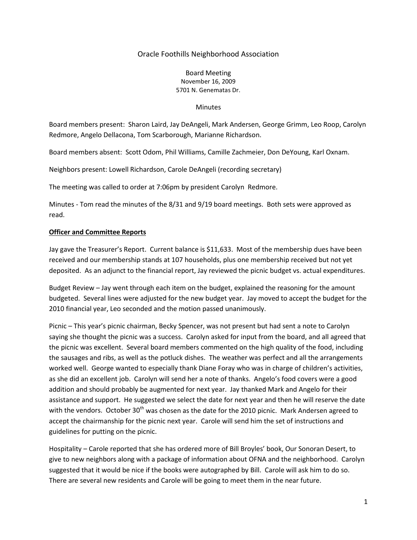# Oracle Foothills Neighborhood Association

### Board Meeting November 16, 2009 5701 N. Genematas Dr.

#### **Minutes**

Board members present: Sharon Laird, Jay DeAngeli, Mark Andersen, George Grimm, Leo Roop, Carolyn Redmore, Angelo Dellacona, Tom Scarborough, Marianne Richardson.

Board members absent: Scott Odom, Phil Williams, Camille Zachmeier, Don DeYoung, Karl Oxnam.

Neighbors present: Lowell Richardson, Carole DeAngeli (recording secretary)

The meeting was called to order at 7:06pm by president Carolyn Redmore.

Minutes - Tom read the minutes of the 8/31 and 9/19 board meetings. Both sets were approved as read.

## **Officer and Committee Reports**

Jay gave the Treasurer's Report. Current balance is \$11,633. Most of the membership dues have been received and our membership stands at 107 households, plus one membership received but not yet deposited. As an adjunct to the financial report, Jay reviewed the picnic budget vs. actual expenditures.

Budget Review – Jay went through each item on the budget, explained the reasoning for the amount budgeted. Several lines were adjusted for the new budget year. Jay moved to accept the budget for the 2010 financial year, Leo seconded and the motion passed unanimously.

Picnic – This year's picnic chairman, Becky Spencer, was not present but had sent a note to Carolyn saying she thought the picnic was a success. Carolyn asked for input from the board, and all agreed that the picnic was excellent. Several board members commented on the high quality of the food, including the sausages and ribs, as well as the potluck dishes. The weather was perfect and all the arrangements worked well. George wanted to especially thank Diane Foray who was in charge of children's activities, as she did an excellent job. Carolyn will send her a note of thanks. Angelo's food covers were a good addition and should probably be augmented for next year. Jay thanked Mark and Angelo for their assistance and support. He suggested we select the date for next year and then he will reserve the date with the vendors. October 30<sup>th</sup> was chosen as the date for the 2010 picnic. Mark Andersen agreed to accept the chairmanship for the picnic next year. Carole will send him the set of instructions and guidelines for putting on the picnic.

Hospitality – Carole reported that she has ordered more of Bill Broyles' book, Our Sonoran Desert, to give to new neighbors along with a package of information about OFNA and the neighborhood. Carolyn suggested that it would be nice if the books were autographed by Bill. Carole will ask him to do so. There are several new residents and Carole will be going to meet them in the near future.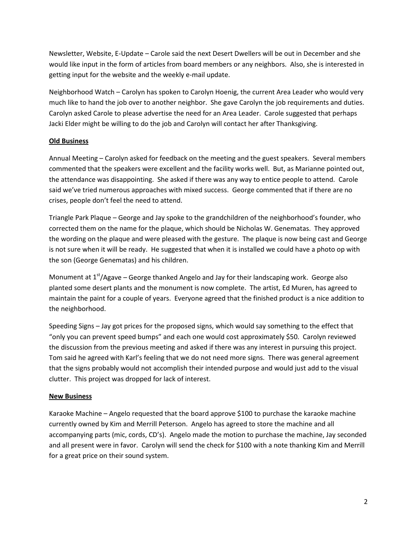Newsletter, Website, E-Update – Carole said the next Desert Dwellers will be out in December and she would like input in the form of articles from board members or any neighbors. Also, she is interested in getting input for the website and the weekly e-mail update.

Neighborhood Watch – Carolyn has spoken to Carolyn Hoenig, the current Area Leader who would very much like to hand the job over to another neighbor. She gave Carolyn the job requirements and duties. Carolyn asked Carole to please advertise the need for an Area Leader. Carole suggested that perhaps Jacki Elder might be willing to do the job and Carolyn will contact her after Thanksgiving.

# **Old Business**

Annual Meeting – Carolyn asked for feedback on the meeting and the guest speakers. Several members commented that the speakers were excellent and the facility works well. But, as Marianne pointed out, the attendance was disappointing. She asked if there was any way to entice people to attend. Carole said we've tried numerous approaches with mixed success. George commented that if there are no crises, people don't feel the need to attend.

Triangle Park Plaque – George and Jay spoke to the grandchildren of the neighborhood's founder, who corrected them on the name for the plaque, which should be Nicholas W. Genematas. They approved the wording on the plaque and were pleased with the gesture. The plaque is now being cast and George is not sure when it will be ready. He suggested that when it is installed we could have a photo op with the son (George Genematas) and his children.

Monument at  $1<sup>st</sup>/Agave – Georgethanked Angelo and Jay for their landscaping work. George also$ planted some desert plants and the monument is now complete. The artist, Ed Muren, has agreed to maintain the paint for a couple of years. Everyone agreed that the finished product is a nice addition to the neighborhood.

Speeding Signs – Jay got prices for the proposed signs, which would say something to the effect that "only you can prevent speed bumps" and each one would cost approximately \$50. Carolyn reviewed the discussion from the previous meeting and asked if there was any interest in pursuing this project. Tom said he agreed with Karl's feeling that we do not need more signs. There was general agreement that the signs probably would not accomplish their intended purpose and would just add to the visual clutter. This project was dropped for lack of interest.

## **New Business**

Karaoke Machine – Angelo requested that the board approve \$100 to purchase the karaoke machine currently owned by Kim and Merrill Peterson. Angelo has agreed to store the machine and all accompanying parts (mic, cords, CD's). Angelo made the motion to purchase the machine, Jay seconded and all present were in favor. Carolyn will send the check for \$100 with a note thanking Kim and Merrill for a great price on their sound system.